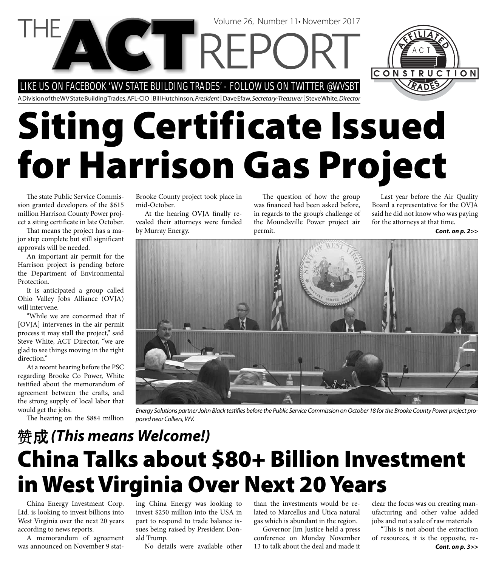LIKE US ON FACEBOOK 'WV STATE BUILDING TRADES' - FOLLOW US ON TWITTER @WVSBT

**CTTREP** 

A Division of the WV State Building Trades, AFL-CIO | Bill Hutchinson, President | Dave Efaw, Secretary-Treasurer | Steve White, Director

# **Siting Certificate Issued for Harrison Gas Project**

The state Public Service Commission granted developers of the \$615 million Harrison County Power project a siting certificate in late October.

That means the project has a major step complete but still significant approvals will be needed.

An important air permit for the Harrison project is pending before the Department of Environmental Protection.

It is anticipated a group called Ohio Valley Jobs Alliance (OVJA) will intervene.

"While we are concerned that if [OVJA] intervenes in the air permit process it may stall the project," said Steve White, ACT Director, "we are glad to see things moving in the right direction."

At a recent hearing before the PSC regarding Brooke Co Power, White testified about the memorandum of agreement between the crafts, and the strong supply of local labor that would get the jobs.

The hearing on the \$884 million

Brooke County project took place in mid-October.

At the hearing OVJA finally revealed their attorneys were funded by Murray Energy.

The question of how the group was financed had been asked before, in regards to the group's challenge of the Moundsville Power project air permit.

Volume 26, Number 11• November 2017

Last year before the Air Quality Board a representative for the OVJA said he did not know who was paying for the attorneys at that time.

*Cont. on p. 2>>*



Energy Solutions partner John Black testifies before the Public Service Commission on October 18 for the Brooke County Power project proposed near Colliers, WV.

#### **China Talks about \$80+ Billion Investment in West Virginia Over Next 20 Years**  *(This means Welcome!)*

China Energy Investment Corp. Ltd. is looking to invest billions into West Virginia over the next 20 years according to news reports.

A memorandum of agreement was announced on November 9 stating China Energy was looking to invest \$250 million into the USA in part to respond to trade balance issues being raised by President Donald Trump.

No details were available other

than the investments would be related to Marcellus and Utica natural gas which is abundant in the region.

Governor Jim Justice held a press conference on Monday November 13 to talk about the deal and made it

clear the focus was on creating manufacturing and other value added jobs and not a sale of raw materials

"This is not about the extraction of resources, it is the opposite, re-*Cont. on p. 3>>*

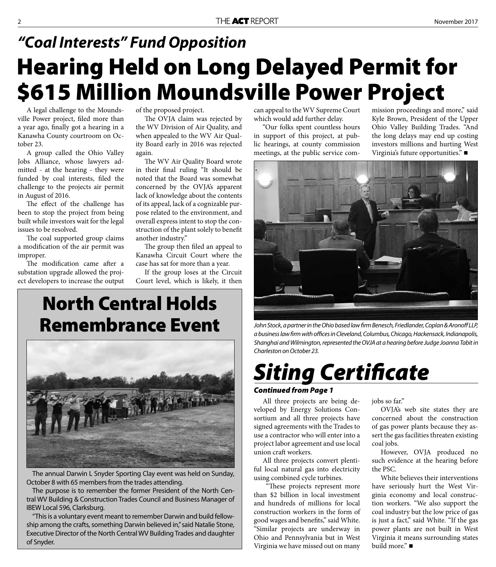### **Hearing Held on Long Delayed Permit for \$615 Million Moundsville Power Project** *"Coal Interests" Fund Opposition*

A legal challenge to the Moundsville Power project, filed more than a year ago, finally got a hearing in a Kanawha County courtroom on October 23.

A group called the Ohio Valley Jobs Alliance, whose lawyers admitted - at the hearing - they were funded by coal interests, filed the challenge to the projects air permit in August of 2016.

The effect of the challenge has been to stop the project from being built while investors wait for the legal issues to be resolved.

The coal supported group claims a modification of the air permit was improper.

The modification came after a substation upgrade allowed the project developers to increase the output of the proposed project.

The OVJA claim was rejected by the WV Division of Air Quality, and when appealed to the WV Air Quality Board early in 2016 was rejected again.

The WV Air Quality Board wrote in their final ruling "It should be noted that the Board was somewhat concerned by the OVJA's apparent lack of knowledge about the contents of its appeal, lack of a cognizable purpose related to the environment, and overall express intent to stop the construction of the plant solely to benefit another industry."

The group then filed an appeal to Kanawha Circuit Court where the case has sat for more than a year.

If the group loses at the Circuit Court level, which is likely, it then

#### **North Central Holds Remembrance Event**



The annual Darwin L Snyder Sporting Clay event was held on Sunday, October 8 with 65 members from the trades attending.

The purpose is to remember the former President of the North Central WV Building & Construction Trades Council and Business Manager of IBEW Local 596, Clarksburg.

"This is a voluntary event meant to remember Darwin and build fellowship among the crafts, something Darwin believed in," said Natalie Stone, Executive Director of the North Central WV Building Trades and daughter of Snyder.

can appeal to the WV Supreme Court which would add further delay.

"Our folks spent countless hours in support of this project, at public hearings, at county commission meetings, at the public service commission proceedings and more," said Kyle Brown, President of the Upper Ohio Valley Building Trades. "And the long delays may end up costing investors millions and hurting West Virginia's future opportunities."



John Stock, a partner in the Ohio based law firm Benesch, Friedlander, Coplan & Aronoff LLP, a business law firm with offices in Cleveland, Columbus, Chicago, Hackensack, Indianapolis, Shanghai and Wilmington, represented the OVJA at a hearing before Judge Joanna Tabit in Charleston on October 23.

## *Siting Certifi cate*

#### *Continued from Page 1*

All three projects are being developed by Energy Solutions Consortium and all three projects have signed agreements with the Trades to use a contractor who will enter into a project labor agreement and use local union craft workers.

All three projects convert plentiful local natural gas into electricity using combined cycle turbines.

"These projects represent more than \$2 billion in local investment and hundreds of millions for local construction workers in the form of good wages and benefits," said White. "Similar projects are underway in Ohio and Pennsylvania but in West Virginia we have missed out on many

jobs so far."

OVJA's web site states they are concerned about the construction of gas power plants because they assert the gas facilities threaten existing coal jobs.

However, OVJA produced no such evidence at the hearing before the PSC.

White believes their interventions have seriously hurt the West Virginia economy and local construction workers. "We also support the coal industry but the low price of gas is just a fact," said White. "If the gas power plants are not built in West Virginia it means surrounding states build more." ■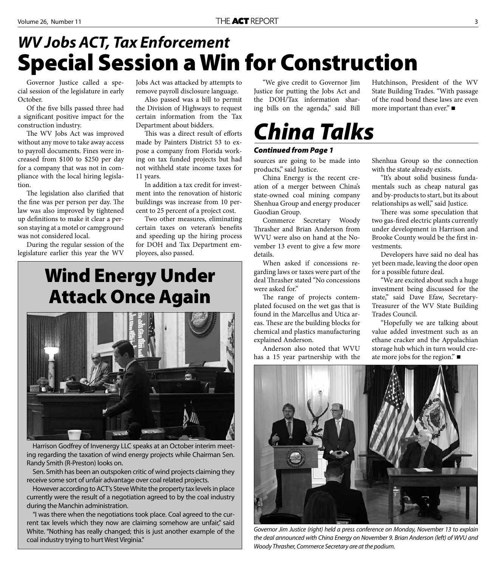#### **Special Session a Win for Construction** *WV Jobs ACT, Tax Enforcement*

Governor Justice called a special session of the legislature in early October.

Of the five bills passed three had a significant positive impact for the construction industry.

The WV Jobs Act was improved without any move to take away access to payroll documents. Fines were increased from \$100 to \$250 per day for a company that was not in compliance with the local hiring legislation.

The legislation also clarified that the fine was per person per day. The law was also improved by tightened up definitions to make it clear a person staying at a motel or campground was not considered local.

During the regular session of the legislature earlier this year the WV

Jobs Act was attacked by attempts to remove payroll disclosure language.

Also passed was a bill to permit the Division of Highways to request certain information from the Tax Department about bidders.

This was a direct result of efforts made by Painters District 53 to expose a company from Florida working on tax funded projects but had not withheld state income taxes for 11 years.

In addition a tax credit for investment into the renovation of historic buildings was increase from 10 percent to 25 percent of a project cost.

Two other measures, eliminating certain taxes on veteran's benefits and speeding up the hiring process for DOH and Tax Department employees, also passed.

#### **Wind Energy Under Attack Once Again**



Harrison Godfrey of Invenergy LLC speaks at an October interim meeting regarding the taxation of wind energy projects while Chairman Sen. Randy Smith (R-Preston) looks on.

Sen. Smith has been an outspoken critic of wind projects claiming they receive some sort of unfair advantage over coal related projects.

However according to ACT's Steve White the property tax levels in place currently were the result of a negotiation agreed to by the coal industry during the Manchin administration.

"I was there when the negotiations took place. Coal agreed to the current tax levels which they now are claiming somehow are unfair," said White. "Nothing has really changed; this is just another example of the coal industry trying to hurt West Virginia."

"We give credit to Governor Jim Justice for putting the Jobs Act and the DOH/Tax information sharing bills on the agenda," said Bill

### *China Talks*

#### *Continued from Page 1*

sources are going to be made into products," said Justice.

China Energy is the recent creation of a merger between China's state-owned coal mining company Shenhua Group and energy producer Guodian Group.

Commerce Secretary Woody Thrasher and Brian Anderson from WVU were also on hand at the November 13 event to give a few more details.

When asked if concessions regarding laws or taxes were part of the deal Thrasher stated "No concessions were asked for."

The range of projects contemplated focused on the wet gas that is found in the Marcellus and Utica areas. These are the building blocks for chemical and plastics manufacturing explained Anderson.

Anderson also noted that WVU has a 15 year partnership with the Hutchinson, President of the WV State Building Trades. "With passage of the road bond these laws are even more important than ever." ■

Shenhua Group so the connection with the state already exists.

"It's about solid business fundamentals such as cheap natural gas and by-products to start, but its about relationships as well," said Justice.

There was some speculation that two gas-fired electric plants currently under development in Harrison and Brooke County would be the first investments.

Developers have said no deal has yet been made, leaving the door open for a possible future deal.

"We are excited about such a huge investment being discussed for the state," said Dave Efaw, Secretary-Treasurer of the WV State Building Trades Council.

"Hopefully we are talking about value added investment such as an ethane cracker and the Appalachian storage hub which in turn would create more jobs for the region."



Governor Jim Justice (right) held a press conference on Monday, November 13 to explain the deal announced with China Energy on November 9. Brian Anderson (left) of WVU and Woody Thrasher, Commerce Secretary are at the podium.